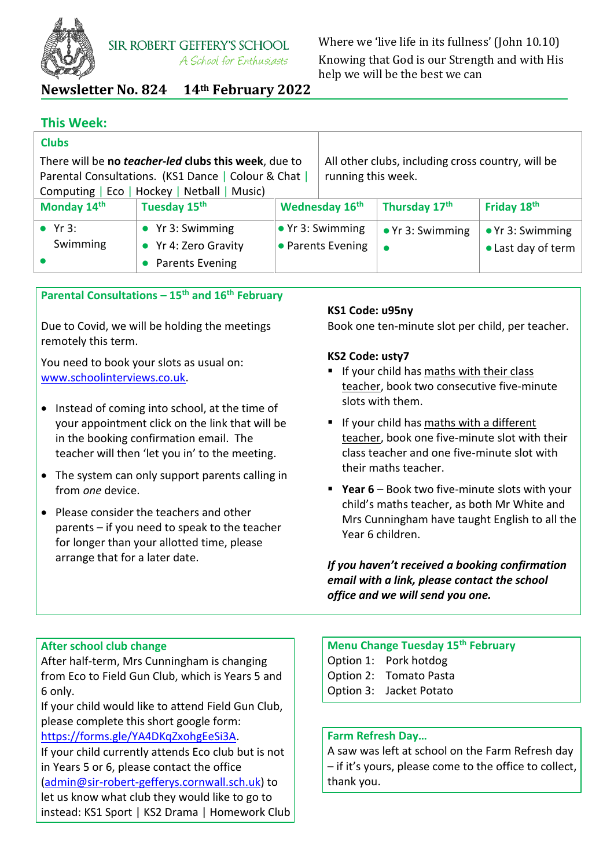

# **Newsletter No. 824 14th February 2022**

# **This Week:**

| <b>Clubs</b>                                         |                                             |                    |                                                   |                          |                          |
|------------------------------------------------------|---------------------------------------------|--------------------|---------------------------------------------------|--------------------------|--------------------------|
| There will be no teacher-led clubs this week, due to |                                             |                    | All other clubs, including cross country, will be |                          |                          |
| Parental Consultations. (KS1 Dance   Colour & Chat   |                                             | running this week. |                                                   |                          |                          |
|                                                      | Computing   Eco   Hockey   Netball   Music) |                    |                                                   |                          |                          |
| Monday 14th                                          | Tuesday 15 <sup>th</sup>                    |                    | Wednesday 16 <sup>th</sup>                        | Thursday 17th            | Friday 18th              |
| $\bullet$ Yr 3:                                      | $\bullet$ Yr 3: Swimming                    |                    | $\bullet$ Yr 3: Swimming                          | $\bullet$ Yr 3: Swimming | $\bullet$ Yr 3: Swimming |
| Swimming                                             | • Yr 4: Zero Gravity                        |                    | • Parents Evening                                 |                          | • Last day of term       |
|                                                      | Parents Evening                             |                    |                                                   |                          |                          |

## **Parental Consultations – 15th and 16th February**

Due to Covid, we will be holding the meetings remotely this term.

You need to book your slots as usual on: [www.schoolinterviews.co.uk.](http://www.schoolinterviews.co.uk/)

- Instead of coming into school, at the time of your appointment click on the link that will be in the booking confirmation email. The teacher will then 'let you in' to the meeting.
- The system can only support parents calling in from *one* device.
- Please consider the teachers and other parents – if you need to speak to the teacher for longer than your allotted time, please arrange that for a later date.

#### **KS1 Code: u95ny**

Book one ten-minute slot per child, per teacher.

#### **KS2 Code: usty7**

- **If your child has maths with their class** teacher, book two consecutive five-minute slots with them.
- If your child has maths with a different teacher, book one five-minute slot with their class teacher and one five-minute slot with their maths teacher.
- **Year 6** Book two five-minute slots with your child's maths teacher, as both Mr White and Mrs Cunningham have taught English to all the Year 6 children.

*If you haven't received a booking confirmation email with a link, please contact the school office and we will send you one.*

## **After school club change**

After half-term, Mrs Cunningham is changing from Eco to Field Gun Club, which is Years 5 and 6 only.

If your child would like to attend Field Gun Club, please complete this short google form:

[https://forms.gle/YA4DKqZxohgEeSi3A.](https://forms.gle/YA4DKqZxohgEeSi3A)

If your child currently attends Eco club but is not in Years 5 or 6, please contact the office

[\(admin@sir-robert-gefferys.cornwall.sch.uk\)](mailto:admin@sir-robert-gefferys.cornwall.sch.uk) to let us know what club they would like to go to instead: KS1 Sport | KS2 Drama | Homework Club

# **Menu Change Tuesday 15th February** Option 1: Pork hotdog Option 2: Tomato Pasta

Option 3: Jacket Potato

#### **Farm Refresh Day…**

A saw was left at school on the Farm Refresh day – if it's yours, please come to the office to collect, thank you.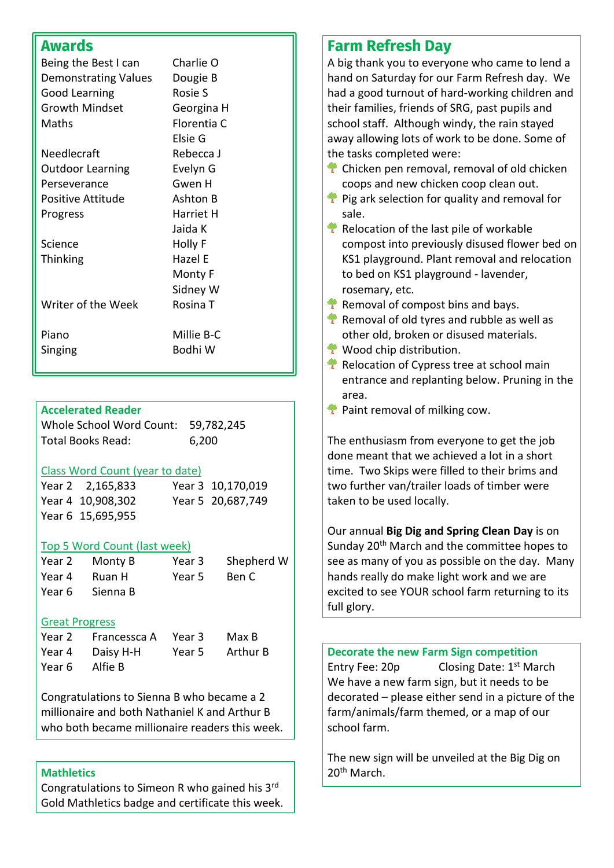# **Awards**

| Being the Best I can<br><b>Demonstrating Values</b><br>Good Learning | Charlie O<br>Dougie B<br>Rosie S |
|----------------------------------------------------------------------|----------------------------------|
| <b>Growth Mindset</b>                                                | Georgina H                       |
| Maths                                                                | Florentia C                      |
|                                                                      | Elsie G                          |
| Needlecraft                                                          | Rebecca J                        |
| <b>Outdoor Learning</b>                                              | Evelyn G                         |
| Perseverance                                                         | Gwen H                           |
| Positive Attitude                                                    | Ashton B                         |
| Progress                                                             | Harriet H                        |
|                                                                      | Jaida K                          |
| Science                                                              | Holly F                          |
| <b>Thinking</b>                                                      | Hazel E                          |
|                                                                      | Monty F                          |
|                                                                      | Sidney W                         |
| Writer of the Week                                                   | Rosina T                         |
| Piano                                                                | Millie B-C                       |
| Singing                                                              | Bodhi W                          |

## **Accelerated Reader**

Whole School Word Count: 59,782,245 Total Books Read: 6,200

## Class Word Count (year to date)

| Year 2 2,165,833  | Year 3 10,170,019 |
|-------------------|-------------------|
| Year 4 10,908,302 | Year 5 20,687,749 |
| Year 6 15,695,955 |                   |

#### Top 5 Word Count (last week)

| Year 2 | Monty B         | Year 3 | Shepherd W |
|--------|-----------------|--------|------------|
| Year 4 | Ruan H          | Year 5 | -Ben C     |
|        | Year 6 Sienna B |        |            |

#### Great Progress

| Year 2 | Francessca A Year 3 |        | Max B    |
|--------|---------------------|--------|----------|
|        | Year 4 Daisy H-H    | Year 5 | Arthur B |
| Year 6 | Alfie B             |        |          |

Congratulations to Sienna B who became a 2 millionaire and both Nathaniel K and Arthur B who both became millionaire readers this week.

#### **Mathletics**

Congratulations to Simeon R who gained his 3rd Gold Mathletics badge and certificate this week.

# **Farm Refresh Day**

A big thank you to everyone who came to lend a hand on Saturday for our Farm Refresh day. We had a good turnout of hard-working children and their families, friends of SRG, past pupils and school staff. Although windy, the rain stayed away allowing lots of work to be done. Some of the tasks completed were:

- Chicken pen removal, removal of old chicken coops and new chicken coop clean out.
- Pig ark selection for quality and removal for sale.
- $\triangle$  Relocation of the last pile of workable compost into previously disused flower bed on KS1 playground. Plant removal and relocation to bed on KS1 playground - lavender, rosemary, etc.
- **Removal of compost bins and bays.**
- $\triangle$  Removal of old tyres and rubble as well as other old, broken or disused materials.
- **Wood chip distribution.**
- $\triangle$  Relocation of Cypress tree at school main entrance and replanting below. Pruning in the area.
- **Paint removal of milking cow.**

The enthusiasm from everyone to get the job done meant that we achieved a lot in a short time. Two Skips were filled to their brims and two further van/trailer loads of timber were taken to be used locally.

Our annual **Big Dig and Spring Clean Day** is on Sunday 20<sup>th</sup> March and the committee hopes to see as many of you as possible on the day. Many hands really do make light work and we are excited to see YOUR school farm returning to its full glory.

**Decorate the new Farm Sign competition** Entry Fee: 20p Closing Date: 1<sup>st</sup> March We have a new farm sign, but it needs to be decorated – please either send in a picture of the farm/animals/farm themed, or a map of our school farm.

The new sign will be unveiled at the Big Dig on 20<sup>th</sup> March.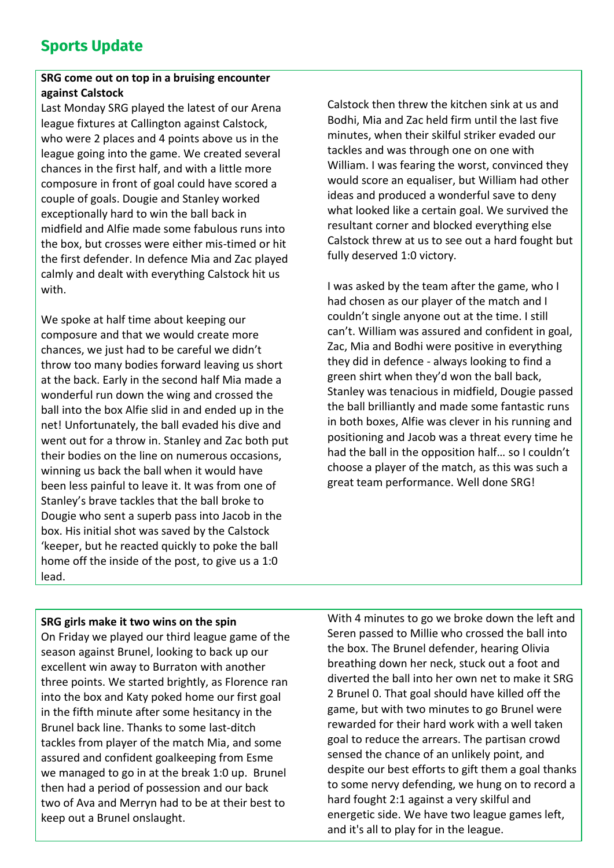# **Sports Update**

## **SRG come out on top in a bruising encounter against Calstock**

Last Monday SRG played the latest of our Arena league fixtures at Callington against Calstock, who were 2 places and 4 points above us in the league going into the game. We created several chances in the first half, and with a little more composure in front of goal could have scored a couple of goals. Dougie and Stanley worked exceptionally hard to win the ball back in midfield and Alfie made some fabulous runs into the box, but crosses were either mis-timed or hit the first defender. In defence Mia and Zac played calmly and dealt with everything Calstock hit us with.

We spoke at half time about keeping our composure and that we would create more chances, we just had to be careful we didn't throw too many bodies forward leaving us short at the back. Early in the second half Mia made a wonderful run down the wing and crossed the ball into the box Alfie slid in and ended up in the net! Unfortunately, the ball evaded his dive and went out for a throw in. Stanley and Zac both put their bodies on the line on numerous occasions, winning us back the ball when it would have been less painful to leave it. It was from one of Stanley's brave tackles that the ball broke to Dougie who sent a superb pass into Jacob in the box. His initial shot was saved by the Calstock 'keeper, but he reacted quickly to poke the ball home off the inside of the post, to give us a 1:0 lead.

Calstock then threw the kitchen sink at us and Bodhi, Mia and Zac held firm until the last five minutes, when their skilful striker evaded our tackles and was through one on one with William. I was fearing the worst, convinced they would score an equaliser, but William had other ideas and produced a wonderful save to deny what looked like a certain goal. We survived the resultant corner and blocked everything else Calstock threw at us to see out a hard fought but fully deserved 1:0 victory.

I was asked by the team after the game, who I had chosen as our player of the match and I couldn't single anyone out at the time. I still can't. William was assured and confident in goal, Zac, Mia and Bodhi were positive in everything they did in defence - always looking to find a green shirt when they'd won the ball back, Stanley was tenacious in midfield, Dougie passed the ball brilliantly and made some fantastic runs in both boxes, Alfie was clever in his running and positioning and Jacob was a threat every time he had the ball in the opposition half… so I couldn't choose a player of the match, as this was such a great team performance. Well done SRG!

#### **SRG girls make it two wins on the spin**

On Friday we played our third league game of the season against Brunel, looking to back up our excellent win away to Burraton with another three points. We started brightly, as Florence ran into the box and Katy poked home our first goal in the fifth minute after some hesitancy in the Brunel back line. Thanks to some last-ditch tackles from player of the match Mia, and some assured and confident goalkeeping from Esme we managed to go in at the break 1:0 up. Brunel then had a period of possession and our back two of Ava and Merryn had to be at their best to keep out a Brunel onslaught.

With 4 minutes to go we broke down the left and Seren passed to Millie who crossed the ball into the box. The Brunel defender, hearing Olivia breathing down her neck, stuck out a foot and diverted the ball into her own net to make it SRG 2 Brunel 0. That goal should have killed off the game, but with two minutes to go Brunel were rewarded for their hard work with a well taken goal to reduce the arrears. The partisan crowd sensed the chance of an unlikely point, and despite our best efforts to gift them a goal thanks to some nervy defending, we hung on to record a hard fought 2:1 against a very skilful and energetic side. We have two league games left, and it's all to play for in the league.